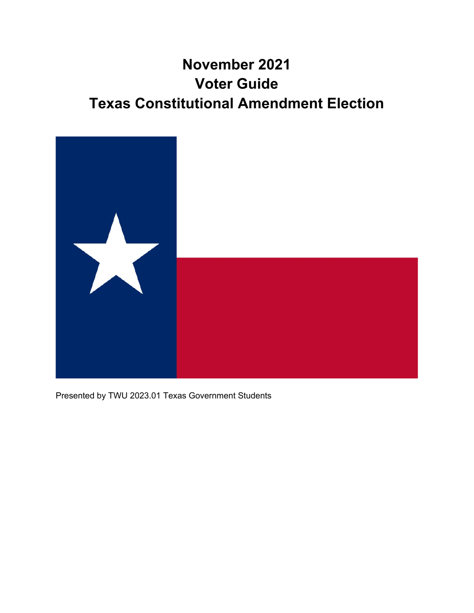# **November 2021 Voter Guide Texas Constitutional Amendment Election**



Presented by TWU 2023.01 Texas Government Students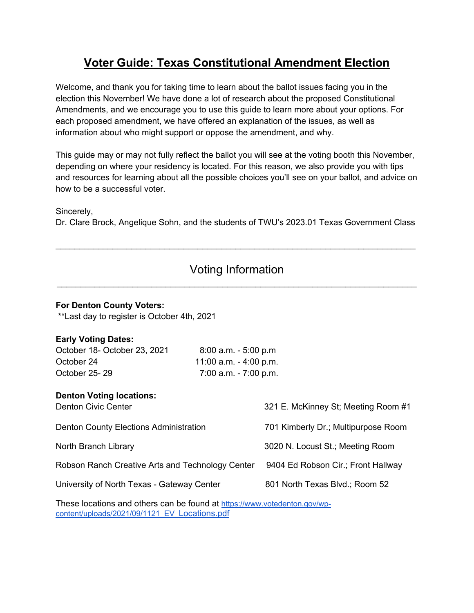## **Voter Guide: Texas Constitutional Amendment Election**

Welcome, and thank you for taking time to learn about the ballot issues facing you in the election this November! We have done a lot of research about the proposed Constitutional Amendments, and we encourage you to use this guide to learn more about your options. For each proposed amendment, we have offered an explanation of the issues, as well as information about who might support or oppose the amendment, and why.

This guide may or may not fully reflect the ballot you will see at the voting booth this November, depending on where your residency is located. For this reason, we also provide you with tips and resources for learning about all the possible choices you'll see on your ballot, and advice on how to be a successful voter.

Sincerely,

Dr. Clare Brock, Angelique Sohn, and the students of TWU's 2023.01 Texas Government Class

 $\mathcal{L}_\text{max} = \mathcal{L}_\text{max} = \mathcal{L}_\text{max} = \mathcal{L}_\text{max} = \mathcal{L}_\text{max} = \mathcal{L}_\text{max} = \mathcal{L}_\text{max} = \mathcal{L}_\text{max} = \mathcal{L}_\text{max} = \mathcal{L}_\text{max} = \mathcal{L}_\text{max} = \mathcal{L}_\text{max} = \mathcal{L}_\text{max} = \mathcal{L}_\text{max} = \mathcal{L}_\text{max} = \mathcal{L}_\text{max} = \mathcal{L}_\text{max} = \mathcal{L}_\text{max} = \mathcal{$ 

### Voting Information  $\mathcal{L}_\mathcal{L} = \{ \mathcal{L}_\mathcal{L} = \{ \mathcal{L}_\mathcal{L} = \{ \mathcal{L}_\mathcal{L} = \{ \mathcal{L}_\mathcal{L} = \{ \mathcal{L}_\mathcal{L} = \{ \mathcal{L}_\mathcal{L} = \{ \mathcal{L}_\mathcal{L} = \{ \mathcal{L}_\mathcal{L} = \{ \mathcal{L}_\mathcal{L} = \{ \mathcal{L}_\mathcal{L} = \{ \mathcal{L}_\mathcal{L} = \{ \mathcal{L}_\mathcal{L} = \{ \mathcal{L}_\mathcal{L} = \{ \mathcal{L}_\mathcal{$

#### **For Denton County Voters:**

\*\*Last day to register is October 4th, 2021

#### **Early Voting Dates:**

| October 18- October 23, 2021 | $8:00$ a.m. $-5:00$ p.m  |
|------------------------------|--------------------------|
| October 24                   | 11:00 a.m. $-$ 4:00 p.m. |
| October 25-29                | $7:00$ a.m. $-7:00$ p.m. |

#### **Denton Voting locations:**

| <b>Denton Civic Center</b>                       | 321 E. McKinney St; Meeting Room #1 |
|--------------------------------------------------|-------------------------------------|
| Denton County Elections Administration           | 701 Kimberly Dr.; Multipurpose Room |
| North Branch Library                             | 3020 N. Locust St.; Meeting Room    |
| Robson Ranch Creative Arts and Technology Center | 9404 Ed Robson Cir.; Front Hallway  |
| University of North Texas - Gateway Center       | 801 North Texas Blvd.; Room 52      |

These locations and others can be found at https://www.votedenton.gov/wpcontent/uploads/2021/09/1121\_EV\_Locations.pdf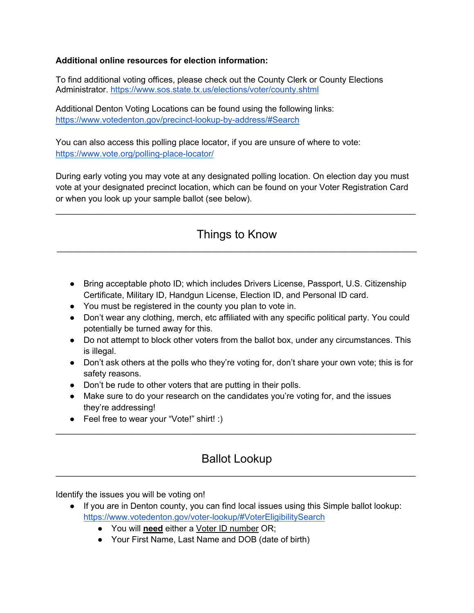#### **Additional online resources for election information:**

To find additional voting offices, please check out the County Clerk or County Elections Administrator. https://www.sos.state.tx.us/elections/voter/county.shtml

Additional Denton Voting Locations can be found using the following links: https://www.votedenton.gov/precinct-lookup-by-address/#Search

You can also access this polling place locator, if you are unsure of where to vote: https://www.vote.org/polling-place-locator/

During early voting you may vote at any designated polling location. On election day you must vote at your designated precinct location, which can be found on your Voter Registration Card or when you look up your sample ballot (see below).

 $\mathcal{L}_\text{max} = \mathcal{L}_\text{max} = \mathcal{L}_\text{max} = \mathcal{L}_\text{max} = \mathcal{L}_\text{max} = \mathcal{L}_\text{max} = \mathcal{L}_\text{max} = \mathcal{L}_\text{max} = \mathcal{L}_\text{max} = \mathcal{L}_\text{max} = \mathcal{L}_\text{max} = \mathcal{L}_\text{max} = \mathcal{L}_\text{max} = \mathcal{L}_\text{max} = \mathcal{L}_\text{max} = \mathcal{L}_\text{max} = \mathcal{L}_\text{max} = \mathcal{L}_\text{max} = \mathcal{$ 

### Things to Know  $\mathcal{L}_\mathcal{L} = \{ \mathcal{L}_\mathcal{L} = \{ \mathcal{L}_\mathcal{L} = \{ \mathcal{L}_\mathcal{L} = \{ \mathcal{L}_\mathcal{L} = \{ \mathcal{L}_\mathcal{L} = \{ \mathcal{L}_\mathcal{L} = \{ \mathcal{L}_\mathcal{L} = \{ \mathcal{L}_\mathcal{L} = \{ \mathcal{L}_\mathcal{L} = \{ \mathcal{L}_\mathcal{L} = \{ \mathcal{L}_\mathcal{L} = \{ \mathcal{L}_\mathcal{L} = \{ \mathcal{L}_\mathcal{L} = \{ \mathcal{L}_\mathcal{$

- Bring acceptable photo ID; which includes Drivers License, Passport, U.S. Citizenship Certificate, Military ID, Handgun License, Election ID, and Personal ID card.
- You must be registered in the county you plan to vote in.
- Don't wear any clothing, merch, etc affiliated with any specific political party. You could potentially be turned away for this.
- Do not attempt to block other voters from the ballot box, under any circumstances. This is illegal.
- Don't ask others at the polls who they're voting for, don't share your own vote; this is for safety reasons.
- Don't be rude to other voters that are putting in their polls.
- Make sure to do your research on the candidates you're voting for, and the issues they're addressing!
- Feel free to wear your "Vote!" shirt! :)

### Ballot Lookup  $\mathcal{L}_\mathcal{L} = \mathcal{L}_\mathcal{L} = \mathcal{L}_\mathcal{L} = \mathcal{L}_\mathcal{L} = \mathcal{L}_\mathcal{L} = \mathcal{L}_\mathcal{L} = \mathcal{L}_\mathcal{L} = \mathcal{L}_\mathcal{L} = \mathcal{L}_\mathcal{L} = \mathcal{L}_\mathcal{L} = \mathcal{L}_\mathcal{L} = \mathcal{L}_\mathcal{L} = \mathcal{L}_\mathcal{L} = \mathcal{L}_\mathcal{L} = \mathcal{L}_\mathcal{L} = \mathcal{L}_\mathcal{L} = \mathcal{L}_\mathcal{L}$

 $\mathcal{L}_\mathcal{L} = \mathcal{L}_\mathcal{L} = \mathcal{L}_\mathcal{L} = \mathcal{L}_\mathcal{L} = \mathcal{L}_\mathcal{L} = \mathcal{L}_\mathcal{L} = \mathcal{L}_\mathcal{L} = \mathcal{L}_\mathcal{L} = \mathcal{L}_\mathcal{L} = \mathcal{L}_\mathcal{L} = \mathcal{L}_\mathcal{L} = \mathcal{L}_\mathcal{L} = \mathcal{L}_\mathcal{L} = \mathcal{L}_\mathcal{L} = \mathcal{L}_\mathcal{L} = \mathcal{L}_\mathcal{L} = \mathcal{L}_\mathcal{L}$ 

Identify the issues you will be voting on!

- If you are in Denton county, you can find local issues using this Simple ballot lookup: https://www.votedenton.gov/voter-lookup/#VoterEligibilitySearch
	- You will **need** either a Voter ID number OR;
	- Your First Name, Last Name and DOB (date of birth)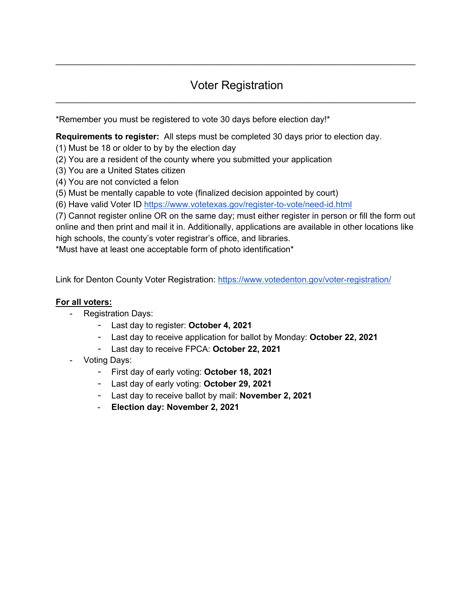### Voter Registration  $\mathcal{L}_\text{max} = \mathcal{L}_\text{max} = \mathcal{L}_\text{max} = \mathcal{L}_\text{max} = \mathcal{L}_\text{max} = \mathcal{L}_\text{max} = \mathcal{L}_\text{max} = \mathcal{L}_\text{max} = \mathcal{L}_\text{max} = \mathcal{L}_\text{max} = \mathcal{L}_\text{max} = \mathcal{L}_\text{max} = \mathcal{L}_\text{max} = \mathcal{L}_\text{max} = \mathcal{L}_\text{max} = \mathcal{L}_\text{max} = \mathcal{L}_\text{max} = \mathcal{L}_\text{max} = \mathcal{$

 $\mathcal{L}_\mathcal{L} = \mathcal{L}_\mathcal{L} = \mathcal{L}_\mathcal{L} = \mathcal{L}_\mathcal{L} = \mathcal{L}_\mathcal{L} = \mathcal{L}_\mathcal{L} = \mathcal{L}_\mathcal{L} = \mathcal{L}_\mathcal{L} = \mathcal{L}_\mathcal{L} = \mathcal{L}_\mathcal{L} = \mathcal{L}_\mathcal{L} = \mathcal{L}_\mathcal{L} = \mathcal{L}_\mathcal{L} = \mathcal{L}_\mathcal{L} = \mathcal{L}_\mathcal{L} = \mathcal{L}_\mathcal{L} = \mathcal{L}_\mathcal{L}$ 

\*Remember you must be registered to vote 30 days before election day!\*

**Requirements to register:** All steps must be completed 30 days prior to election day.

(1) Must be 18 or older to by by the election day

(2) You are a resident of the county where you submitted your application

(3) You are a United States citizen

(4) You are not convicted a felon

(5) Must be mentally capable to vote (finalized decision appointed by court)

(6) Have valid Voter ID https://www.votetexas.gov/register-to-vote/need-id.html

(7) Cannot register online OR on the same day; must either register in person or fill the form out online and then print and mail it in. Additionally, applications are available in other locations like high schools, the county's voter registrar's office, and libraries.

\*Must have at least one acceptable form of photo identification\*

Link for Denton County Voter Registration: https://www.votedenton.gov/voter-registration/

#### **For all voters:**

- Registration Days:
	- Last day to register: **October 4, 2021**
	- Last day to receive application for ballot by Monday: **October 22, 2021**
	- Last day to receive FPCA: **October 22, 2021**
- Voting Days:
	- First day of early voting: **October 18, 2021**
	- Last day of early voting: **October 29, 2021**
	- Last day to receive ballot by mail: **November 2, 2021**
	- **Election day: November 2, 2021**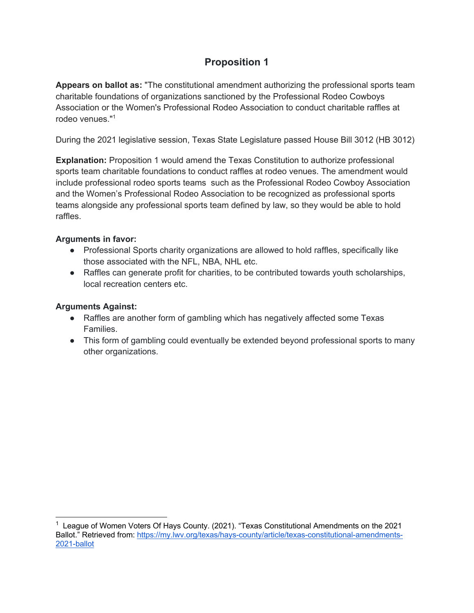**Appears on ballot as:** "The constitutional amendment authorizing the professional sports team charitable foundations of organizations sanctioned by the Professional Rodeo Cowboys Association or the Women's Professional Rodeo Association to conduct charitable raffles at rodeo venues."<sup>1</sup>

During the 2021 legislative session, Texas State Legislature passed House Bill 3012 (HB 3012)

**Explanation:** Proposition 1 would amend the Texas Constitution to authorize professional sports team charitable foundations to conduct raffles at rodeo venues. The amendment would include professional rodeo sports teams such as the Professional Rodeo Cowboy Association and the Women's Professional Rodeo Association to be recognized as professional sports teams alongside any professional sports team defined by law, so they would be able to hold raffles.

### **Arguments in favor:**

- Professional Sports charity organizations are allowed to hold raffles, specifically like those associated with the NFL, NBA, NHL etc.
- Raffles can generate profit for charities, to be contributed towards youth scholarships, local recreation centers etc.

### **Arguments Against:**

- Raffles are another form of gambling which has negatively affected some Texas Families.
- This form of gambling could eventually be extended beyond professional sports to many other organizations.

<sup>&</sup>lt;sup>1</sup> League of Women Voters Of Hays County. (2021). "Texas Constitutional Amendments on the 2021 Ballot." Retrieved from: https://my.lwv.org/texas/hays-county/article/texas-constitutional-amendments-2021-ballot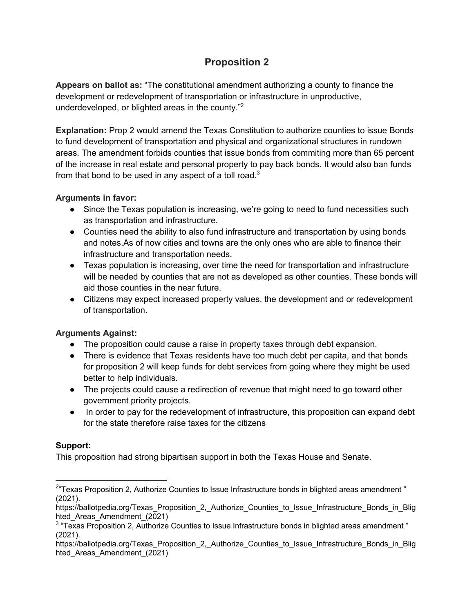**Appears on ballot as:** "The constitutional amendment authorizing a county to finance the development or redevelopment of transportation or infrastructure in unproductive, underdeveloped, or blighted areas in the county."2

**Explanation:** Prop 2 would amend the Texas Constitution to authorize counties to issue Bonds to fund development of transportation and physical and organizational structures in rundown areas. The amendment forbids counties that issue bonds from commiting more than 65 percent of the increase in real estate and personal property to pay back bonds. It would also ban funds from that bond to be used in any aspect of a toll road. $3$ 

### **Arguments in favor:**

- Since the Texas population is increasing, we're going to need to fund necessities such as transportation and infrastructure.
- Counties need the ability to also fund infrastructure and transportation by using bonds and notes.As of now cities and towns are the only ones who are able to finance their infrastructure and transportation needs.
- Texas population is increasing, over time the need for transportation and infrastructure will be needed by counties that are not as developed as other counties. These bonds will aid those counties in the near future.
- Citizens may expect increased property values, the development and or redevelopment of transportation.

### **Arguments Against:**

- The proposition could cause a raise in property taxes through debt expansion.
- There is evidence that Texas residents have too much debt per capita, and that bonds for proposition 2 will keep funds for debt services from going where they might be used better to help individuals.
- The projects could cause a redirection of revenue that might need to go toward other government priority projects.
- In order to pay for the redevelopment of infrastructure, this proposition can expand debt for the state therefore raise taxes for the citizens

### **Support:**

This proposition had strong bipartisan support in both the Texas House and Senate.

 $^{2}$ "Texas Proposition 2, Authorize Counties to Issue Infrastructure bonds in blighted areas amendment " (2021).

https://ballotpedia.org/Texas Proposition 2, Authorize Counties to Issue Infrastructure Bonds in Blig hted Areas Amendment (2021)

<sup>3</sup> "Texas Proposition 2, Authorize Counties to Issue Infrastructure bonds in blighted areas amendment " (2021).

https://ballotpedia.org/Texas\_Proposition\_2,\_Authorize\_Counties\_to\_Issue\_Infrastructure\_Bonds\_in\_Blig hted\_Areas\_Amendment\_(2021)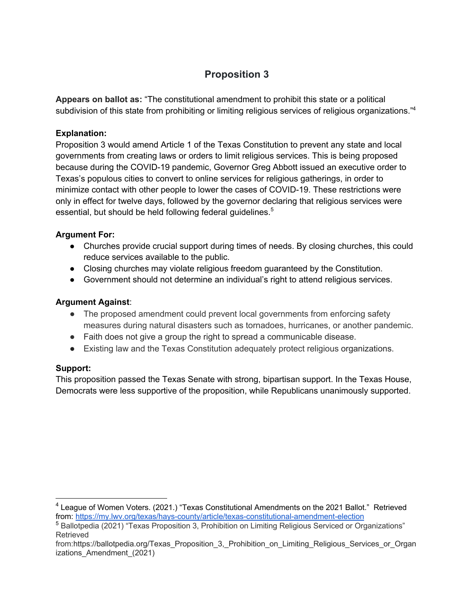**Appears on ballot as:** "The constitutional amendment to prohibit this state or a political subdivision of this state from prohibiting or limiting religious services of religious organizations."<sup>4</sup>

### **Explanation:**

Proposition 3 would amend Article 1 of the Texas Constitution to prevent any state and local governments from creating laws or orders to limit religious services. This is being proposed because during the COVID-19 pandemic, Governor Greg Abbott issued an executive order to Texas's populous cities to convert to online services for religious gatherings, in order to minimize contact with other people to lower the cases of COVID-19. These restrictions were only in effect for twelve days, followed by the governor declaring that religious services were essential, but should be held following federal guidelines.<sup>5</sup>

#### **Argument For:**

- Churches provide crucial support during times of needs. By closing churches, this could reduce services available to the public.
- Closing churches may violate religious freedom guaranteed by the Constitution.
- Government should not determine an individual's right to attend religious services.

### **Argument Against**:

- The proposed amendment could prevent local governments from enforcing safety measures during natural disasters such as tornadoes, hurricanes, or another pandemic.
- Faith does not give a group the right to spread a communicable disease.
- Existing law and the Texas Constitution adequately protect religious organizations.

### **Support:**

This proposition passed the Texas Senate with strong, bipartisan support. In the Texas House, Democrats were less supportive of the proposition, while Republicans unanimously supported.

 $4$  League of Women Voters. (2021.) "Texas Constitutional Amendments on the 2021 Ballot." Retrieved from: https://my.lwv.org/texas/hays-county/article/texas-constitutional-amendment-election

<sup>&</sup>lt;sup>5</sup> Ballotpedia (2021) "Texas Proposition 3, Prohibition on Limiting Religious Serviced or Organizations" Retrieved

from:https://ballotpedia.org/Texas\_Proposition\_3,\_Prohibition\_on\_Limiting\_Religious\_Services\_or\_Organ izations\_Amendment\_(2021)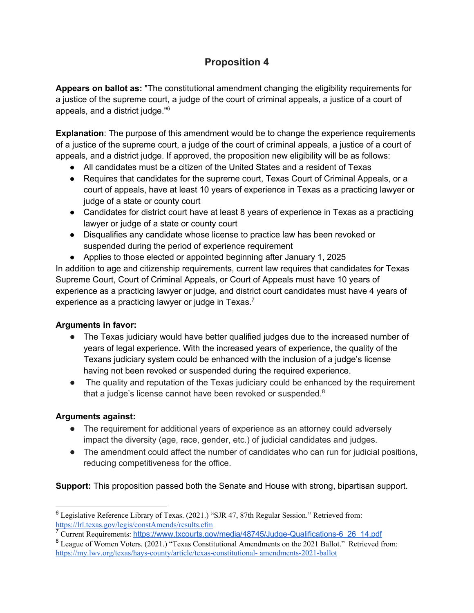**Appears on ballot as:** "The constitutional amendment changing the eligibility requirements for a justice of the supreme court, a judge of the court of criminal appeals, a justice of a court of appeals, and a district judge."<sup>6</sup>

**Explanation**: The purpose of this amendment would be to change the experience requirements of a justice of the supreme court, a judge of the court of criminal appeals, a justice of a court of appeals, and a district judge. If approved, the proposition new eligibility will be as follows:

- All candidates must be a citizen of the United States and a resident of Texas
- Requires that candidates for the supreme court, Texas Court of Criminal Appeals, or a court of appeals, have at least 10 years of experience in Texas as a practicing lawyer or judge of a state or county court
- Candidates for district court have at least 8 years of experience in Texas as a practicing lawyer or judge of a state or county court
- Disqualifies any candidate whose license to practice law has been revoked or suspended during the period of experience requirement
- Applies to those elected or appointed beginning after January 1, 2025

In addition to age and citizenship requirements, current law requires that candidates for Texas Supreme Court, Court of Criminal Appeals, or Court of Appeals must have 10 years of experience as a practicing lawyer or judge, and district court candidates must have 4 years of experience as a practicing lawyer or judge in Texas. $<sup>7</sup>$ </sup>

### **Arguments in favor:**

- The Texas judiciary would have better qualified judges due to the increased number of years of legal experience. With the increased years of experience, the quality of the Texans judiciary system could be enhanced with the inclusion of a judge's license having not been revoked or suspended during the required experience.
- The quality and reputation of the Texas judiciary could be enhanced by the requirement that a judge's license cannot have been revoked or suspended.<sup>8</sup>

### **Arguments against:**

- The requirement for additional years of experience as an attorney could adversely impact the diversity (age, race, gender, etc.) of judicial candidates and judges.
- The amendment could affect the number of candidates who can run for judicial positions, reducing competitiveness for the office.

**Support:** This proposition passed both the Senate and House with strong, bipartisan support.

<sup>6</sup> Legislative Reference Library of Texas. (2021.) "SJR 47, 87th Regular Session." Retrieved from: https://lrl.texas.gov/legis/constAmends/results.cfm

<sup>7</sup> Current Requirements: https://www.txcourts.gov/media/48745/Judge-Qualifications-6\_26\_14.pdf

<sup>8</sup> League of Women Voters. (2021.) "Texas Constitutional Amendments on the 2021 Ballot." Retrieved from: https://my.lwv.org/texas/hays-county/article/texas-constitutional- amendments-2021-ballot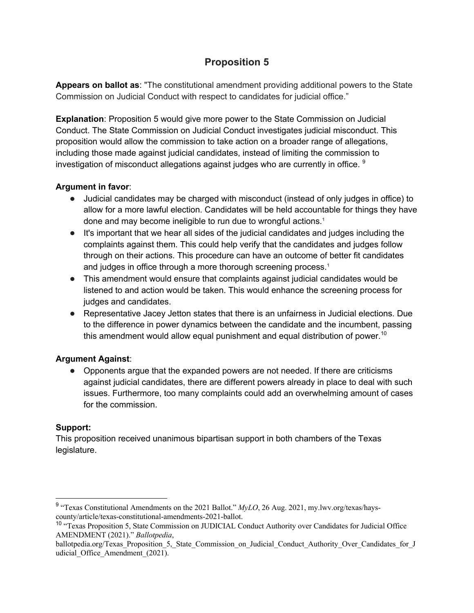**Appears on ballot as**: "The constitutional amendment providing additional powers to the State Commission on Judicial Conduct with respect to candidates for judicial office."

**Explanation**: Proposition 5 would give more power to the State Commission on Judicial Conduct. The State Commission on Judicial Conduct investigates judicial misconduct. This proposition would allow the commission to take action on a broader range of allegations, including those made against judicial candidates, instead of limiting the commission to investigation of misconduct allegations against judges who are currently in office. <sup>9</sup>

### **Argument in favor**:

- Judicial candidates may be charged with misconduct (instead of only judges in office) to allow for a more lawful election. Candidates will be held accountable for things they have done and may become ineligible to run due to wrongful actions.<sup>1</sup>
- It's important that we hear all sides of the judicial candidates and judges including the complaints against them. This could help verify that the candidates and judges follow through on their actions. This procedure can have an outcome of better fit candidates and judges in office through a more thorough screening process.<sup>1</sup>
- This amendment would ensure that complaints against judicial candidates would be listened to and action would be taken. This would enhance the screening process for judges and candidates.
- Representative Jacey Jetton states that there is an unfairness in Judicial elections. Due to the difference in power dynamics between the candidate and the incumbent, passing this amendment would allow equal punishment and equal distribution of power.<sup>10</sup>

### **Argument Against**:

● Opponents argue that the expanded powers are not needed. If there are criticisms against judicial candidates, there are different powers already in place to deal with such issues. Furthermore, too many complaints could add an overwhelming amount of cases for the commission.

### **Support:**

This proposition received unanimous bipartisan support in both chambers of the Texas legislature.

<sup>9</sup> "Texas Constitutional Amendments on the 2021 Ballot." *MyLO*, 26 Aug. 2021, my.lwv.org/texas/hayscounty/article/texas-constitutional-amendments-2021-ballot.

<sup>&</sup>lt;sup>10</sup> "Texas Proposition 5, State Commission on JUDICIAL Conduct Authority over Candidates for Judicial Office AMENDMENT (2021)." *Ballotpedia*,

ballotpedia.org/Texas\_Proposition\_5,\_State\_Commission\_on\_Judicial\_Conduct\_Authority\_Over\_Candidates\_for\_J udicial Office Amendment (2021).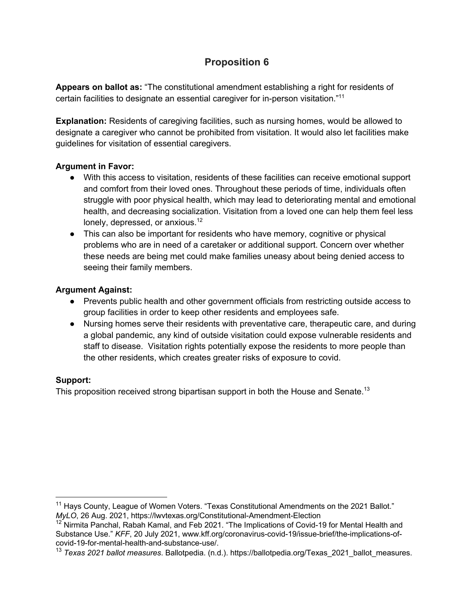**Appears on ballot as:** "The constitutional amendment establishing a right for residents of certain facilities to designate an essential caregiver for in-person visitation."11

**Explanation:** Residents of caregiving facilities, such as nursing homes, would be allowed to designate a caregiver who cannot be prohibited from visitation. It would also let facilities make guidelines for visitation of essential caregivers.

#### **Argument in Favor:**

- With this access to visitation, residents of these facilities can receive emotional support and comfort from their loved ones. Throughout these periods of time, individuals often struggle with poor physical health, which may lead to deteriorating mental and emotional health, and decreasing socialization. Visitation from a loved one can help them feel less lonely, depressed, or anxious.<sup>12</sup>
- This can also be important for residents who have memory, cognitive or physical problems who are in need of a caretaker or additional support. Concern over whether these needs are being met could make families uneasy about being denied access to seeing their family members.

#### **Argument Against:**

- Prevents public health and other government officials from restricting outside access to group facilities in order to keep other residents and employees safe.
- Nursing homes serve their residents with preventative care, therapeutic care, and during a global pandemic, any kind of outside visitation could expose vulnerable residents and staff to disease. Visitation rights potentially expose the residents to more people than the other residents, which creates greater risks of exposure to covid.

### **Support:**

This proposition received strong bipartisan support in both the House and Senate.<sup>13</sup>

 $11$  Hays County, League of Women Voters. "Texas Constitutional Amendments on the 2021 Ballot." *MyLO*, 26 Aug. 2021, https://lwvtexas.org/Constitutional-Amendment-Election

<sup>&</sup>lt;sup>12</sup> Nirmita Panchal, Rabah Kamal, and Feb 2021. "The Implications of Covid-19 for Mental Health and Substance Use." *KFF*, 20 July 2021, www.kff.org/coronavirus-covid-19/issue-brief/the-implications-ofcovid-19-for-mental-health-and-substance-use/.

<sup>13</sup> *Texas 2021 ballot measures*. Ballotpedia. (n.d.). https://ballotpedia.org/Texas\_2021\_ballot\_measures.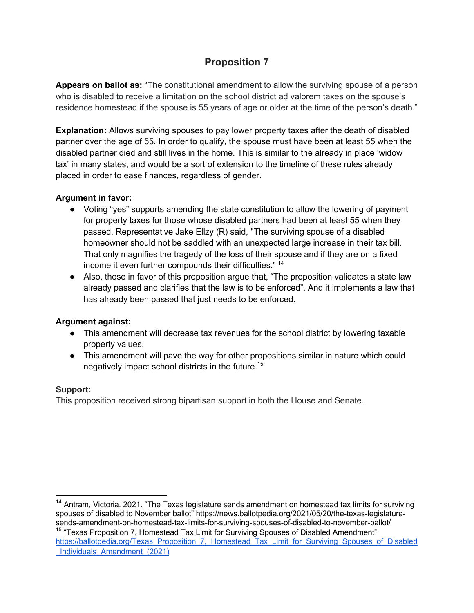**Appears on ballot as:** "The constitutional amendment to allow the surviving spouse of a person who is disabled to receive a limitation on the school district ad valorem taxes on the spouse's residence homestead if the spouse is 55 years of age or older at the time of the person's death."

**Explanation:** Allows surviving spouses to pay lower property taxes after the death of disabled partner over the age of 55. In order to qualify, the spouse must have been at least 55 when the disabled partner died and still lives in the home. This is similar to the already in place 'widow tax' in many states, and would be a sort of extension to the timeline of these rules already placed in order to ease finances, regardless of gender.

### **Argument in favor:**

- Voting "yes" supports amending the state constitution to allow the lowering of payment for property taxes for those whose disabled partners had been at least 55 when they passed. Representative Jake Ellzy (R) said, "The surviving spouse of a disabled homeowner should not be saddled with an unexpected large increase in their tax bill. That only magnifies the tragedy of the loss of their spouse and if they are on a fixed income it even further compounds their difficulties." 14
- Also, those in favor of this proposition argue that, "The proposition validates a state law already passed and clarifies that the law is to be enforced". And it implements a law that has already been passed that just needs to be enforced.

### **Argument against:**

- This amendment will decrease tax revenues for the school district by lowering taxable property values.
- This amendment will pave the way for other propositions similar in nature which could negatively impact school districts in the future.15

### **Support:**

This proposition received strong bipartisan support in both the House and Senate.

 $14$  Antram, Victoria. 2021. "The Texas legislature sends amendment on homestead tax limits for surviving spouses of disabled to November ballot" https://news.ballotpedia.org/2021/05/20/the-texas-legislaturesends-amendment-on-homestead-tax-limits-for-surviving-spouses-of-disabled-to-november-ballot/ <sup>15</sup> "Texas Proposition 7, Homestead Tax Limit for Surviving Spouses of Disabled Amendment" https://ballotpedia.org/Texas\_Proposition\_7,\_Homestead\_Tax\_Limit\_for\_Surviving\_Spouses\_of\_Disabled Individuals Amendment (2021)